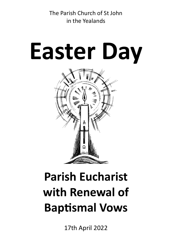The Parish Church of St John in the Yealands

# **Easter Day**



# **Parish Eucharist with Renewal of Baptismal Vows**

17th April 2022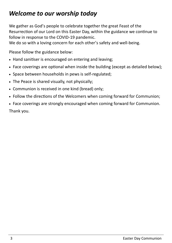# *Welcome to our worship today*

We gather as God's people to celebrate together the great Feast of the Resurrection of our Lord on this Easter Day, within the guidance we continue to follow in response to the COVID-19 pandemic.

We do so with a loving concern for each other's safety and well-being.

Please follow the guidance below:

- Hand sanitiser is encouraged on entering and leaving;
- Face coverings are optional when inside the building (except as detailed below);
- Space between households in pews is self-regulated;
- The Peace is shared visually, not physically;
- Communion is received in one kind (bread) only;
- Follow the directions of the Welcomers when coming forward for Communion;
- Face coverings are strongly encouraged when coming forward for Communion. Thank you.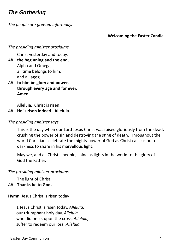# *The Gathering*

*The people are greeted informally.*

#### **Welcoming the Easter Candle**

*The presiding minister proclaims* 

Christ yesterday and today,

- *All* **the beginning and the end,** Alpha and Omega, all time belongs to him, and all ages;
- *All* **to him be glory and power, through every age and for ever. Amen.**

Alleluia. Christ is risen.

*All* **He is risen indeed. Alleluia.**

#### *The presiding minister says*

This is the day when our Lord Jesus Christ was raised gloriously from the dead, crushing the power of sin and destroying the sting of death. Throughout the world Christians celebrate the mighty power of God as Christ calls us out of darkness to share in his marvellous light.

May we, and all Christ's people, shine as lights in the world to the glory of God the Father.

*The presiding minister proclaims* 

The light of Christ.

*All* **Thanks be to God.**

**Hymn** Jesus Christ is risen today

1 Jesus Christ is risen today, *Alleluia,* our triumphant holy day, *Alleluia,* who did once, upon the cross, *Alleluia,* suffer to redeem our loss. *Alleluia.*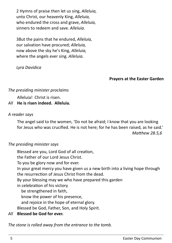2 Hymns of praise then let us sing, *Alleluia,* unto Christ, our heavenly King, *Alleluia,* who endured the cross and grave, *Alleluia,* sinners to redeem and save. *Alleluia.* 

3But the pains that he endured, *Alleluia,* our salvation have procured; *Alleluia,* now above the sky he's King, *Alleluia,* where the angels ever sing. *Alleluia.* 

*Lyra Davidica*

#### **Prayers at the Easter Garden**

#### *The presiding minister proclaims*

Alleluia! Christ is risen.

#### *All* **He is risen indeed. Alleluia.**

#### *A reader says*

The angel said to the women, 'Do not be afraid; I know that you are looking for Jesus who was crucified. He is not here; for he has been raised, as he said.' *Matthew 28.5,6*

#### *The presiding minister says*

Blessed are you, Lord God of all creation, the Father of our Lord Jesus Christ. To you be glory now and for ever. In your great mercy you have given us a new birth into a living hope through the resurrection of Jesus Christ from the dead. By your blessing may we who have prepared this garden in celebration of his victory be strengthened in faith, know the power of his presence, and rejoice in the hope of eternal glory. Blessed be God, Father, Son, and Holy Spirit. *All* **Blessed be God for ever.**

*The stone is rolled away from the entrance to the tomb.*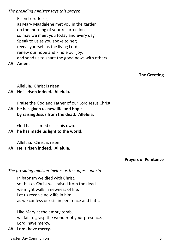*The presiding minister says this prayer.*

Risen Lord Jesus, as Mary Magdalene met you in the garden on the morning of your resurrection, so may we meet you today and every day. Speak to us as you spoke to her; reveal yourself as the living Lord; renew our hope and kindle our joy; and send us to share the good news with others.

*All* **Amen.**

**The Greeting**

Alleluia. Christ is risen.

#### *All* **He is risen indeed. Alleluia.**

Praise the God and Father of our Lord Jesus Christ:

*All* **he has given us new life and hope by raising Jesus from the dead. Alleluia.**

God has claimed us as his own:

*All* **he has made us light to the world.**

Alleluia. Christ is risen.

*All* **He is risen indeed. Alleluia.**

**Prayers of Penitence**

*The presiding minister invites us to confess our sin*

In baptism we died with Christ, so that as Christ was raised from the dead, we might walk in newness of life. Let us receive new life in him as we confess our sin in penitence and faith.

Like Mary at the empty tomb, we fail to grasp the wonder of your presence. Lord, have mercy.

*All* **Lord, have mercy.**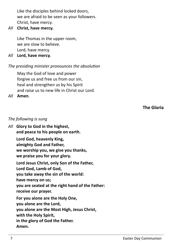Like the disciples behind locked doors, we are afraid to be seen as your followers. Christ, have mercy.

#### *All* **Christ, have mercy.**

Like Thomas in the upper room, we are slow to believe. Lord, have mercy.

*All* **Lord, have mercy.**

#### *The presiding minister pronounces the absolution*

May the God of love and power forgive us and free us from our sin, heal and strengthen us by his Spirit and raise us to new life in Christ our Lord.

#### *All* **Amen**.

#### **The Gloria**

#### *The following is sung*

*All* **Glory to God in the highest, and peace to his people on earth. Lord God, heavenly King, almighty God and Father, we worship you, we give you thanks, we praise you for your glory. Lord Jesus Christ, only Son of the Father, Lord God, Lamb of God, you take away the sin of the world: have mercy on us; you are seated at the right hand of the Father: receive our prayer. For you alone are the Holy One, you alone are the Lord, you alone are the Most High, Jesus Christ, with the Holy Spirit, in the glory of God the Father. Amen.**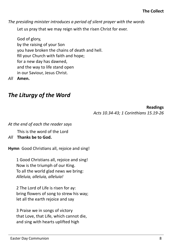*The presiding minister introduces a period of silent prayer with the words* 

Let us pray that we may reign with the risen Christ for ever.

God of glory, by the raising of your Son you have broken the chains of death and hell. fill your Church with faith and hope; for a new day has dawned, and the way to life stand open in our Saviour, Jesus Christ.

*All* **Amen.**

# *The Liturgy of the Word*

**Readings**

*Acts 10.34-43; 1 Corinthians 15.19-26*

*At the end of each the reader says*

This is the word of the Lord

#### *All* **Thanks be to God.**

**Hymn** Good Christians all, rejoice and sing!

1 Good Christians all, rejoice and sing! Now is the triumph of our King. To all the world glad news we bring: *Alleluia, alleluia, alleluia!* 

2 The Lord of Life is risen for ay: bring flowers of song to strew his way; let all the earth rejoice and say

3 Praise we in songs of victory that Love, that Life, which cannot die, and sing with hearts uplifted high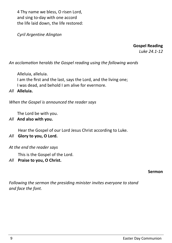4 Thy name we bless, O risen Lord, and sing to-day with one accord the life laid down, the life restored:

*Cyril Argentine Alington*

**Gospel Reading**

*Luke 24.1-12*

*An acclamation heralds the Gospel reading using the following words*

Alleluia, alleluia. I am the first and the last, says the Lord, and the living one; I was dead, and behold I am alive for evermore.

*All* **Alleluia.**

*When the Gospel is announced the reader says*

The Lord be with you.

#### *All* **And also with you.**

Hear the Gospel of our Lord Jesus Christ according to Luke.

#### *All* **Glory to you, O Lord.**

#### *At the end the reader says*

This is the Gospel of the Lord.

*All* **Praise to you, O Christ.** 

#### **Sermon**

*Following the sermon the presiding minister invites everyone to stand and face the font.*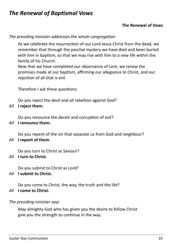# *The Renewal of Baptismal Vows*

#### **The Renewal of Vows**

*The presiding minister addresses the whole congregation*

As we celebrate the resurrection of our Lord Jesus Christ from the dead, we remember that through the paschal mystery we have died and been buried with him in baptism, so that we may rise with him to a new life within the family of his Church.

Now that we have completed our observance of Lent, we renew the promises made at our baptism, affirming our allegiance to Christ, and our rejection of all that is evil.

Therefore I ask these questions:

Do you reject the devil and all rebellion against God?

#### *All* **I reject them.**

Do you renounce the deceit and corruption of evil?

*All* **I renounce them.**

Do you repent of the sin that separate us from God and neighbour?

*All* **I repent of them.**

Do you turn to Christ as Saviour?

#### *All* **I turn to Christ.**

Do you submit to Christ as Lord?

#### *All* **I submit to Christ.**

Do you come to Christ, the way, the truth and the life?

#### *All* **I come to Christ.**

#### *The presiding minister says*

May almighty God who has given you the desire to follow Christ give you the strength to continue in the way.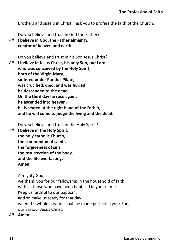Brothers and sisters in Christ, I ask you to profess the faith of the Church.

Do you believe and trust in God the Father?

*All* **I believe in God, the Father almighty, creator of heaven and earth.**

Do you believe and trust in his Son Jesus Christ?

*All* **I believe in Jesus Christ, his only Son, our Lord, who was conceived by the Holy Spirit, born of the Virgin Mary, suffered under Pontius Pilate, was crucified, died, and was buried; he descended to the dead. On the third day he rose again; he ascended into heaven, he is seated at the right hand of the Father, and he will come to judge the living and the dead.**

Do you believe and trust in the Holy Spirit?

*All* **I believe in the Holy Spirit, the holy catholic Church, the communion of saints, the forgiveness of sins, the resurrection of the body, and the life everlasting. Amen.**

Almighty God,

we thank you for our fellowship in the household of faith with all those who have been baptised in your name. Keep us faithful to our baptism, and so make us ready for that day when the whole creation shall be made perfect in your Son, our Saviour Jesus Christ.

*All* **Amen.**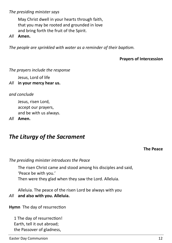#### *The presiding minister says*

May Christ dwell in your hearts through faith, that you may be rooted and grounded in love and bring forth the fruit of the Spirit.

*All* **Amen.**

*The people are sprinkled with water as a reminder of their baptism.* 

#### **Prayers of Intercession**

*The prayers include the response*

Jesus, Lord of life

*All* **in your mercy hear us.**

*and conclude*

Jesus, risen Lord, accept our prayers, and be with us always.

*All* **Amen.** 

# *The Liturgy of the Sacrament*

#### **The Peace**

*The presiding minister introduces the Peace* 

The risen Christ came and stood among his disciples and said, 'Peace be with you.'

Then were they glad when they saw the Lord. Alleluia.

Alleluia. The peace of the risen Lord be always with you *All* **and also with you. Alleluia.**

**Hymn** The day of resurrection

1 The day of resurrection! Earth, tell it out abroad; the Passover of gladness,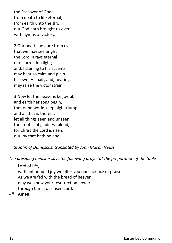the Passover of God; from death to life eternal, from earth unto the sky, our God hath brought us over with hymns of victory.

2 Our hearts be pure from evil, that we may see aright the Lord in rays eternal of resurrection light; and, listening to his accents, may hear so calm and plain his own 'All hail', and, hearing, may raise the victor strain.

3 Now let the heavens be joyful, and earth her song begin, the round world keep high triumph, and all that is therein; let all things seen and unseen their notes of gladness blend, for Christ the Lord is risen, our joy that hath no end.

*St John of Damascus, translated by John Mason Neale*

*The presiding minister says the following prayer at the preparation of the table* 

Lord of life, with unbounded joy we offer you our sacrifice of praise. As we are fed with the bread of heaven may we know your resurrection power; through Christ our risen Lord.

*All* **Amen.**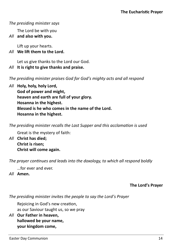#### *The presiding minister says*

The Lord be with you

#### *All* **and also with you.**

Lift up your hearts.

#### *All* **We lift them to the Lord.**

Let us give thanks to the Lord our God.

#### *All* **It is right to give thanks and praise.**

*The presiding minister praises God for God's mighty acts and all respond*

*All* **Holy, holy, holy Lord, God of power and might, heaven and earth are full of your glory. Hosanna in the highest. Blessed is he who comes in the name of the Lord. Hosanna in the highest.**

*The presiding minister recalls the Last Supper and this acclamation is used*

Great is the mystery of faith:

*All* **Christ has died; Christ is risen; Christ will come again.** 

*The prayer continues and leads into the doxology, to which all respond boldly*

…for ever and ever.

*All* **Amen.** 

#### **The Lord's Prayer**

*The presiding minister invites the people to say the Lord's Prayer*

Rejoicing in God's new creation, as our Saviour taught us, so we pray

*All* **Our Father in heaven, hallowed be your name, your kingdom come,**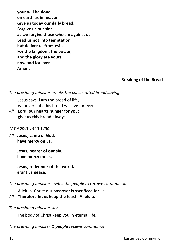**your will be done, on earth as in heaven. Give us today our daily bread. Forgive us our sins as we forgive those who sin against us. Lead us not into temptation but deliver us from evil. For the kingdom, the power, and the glory are yours now and for ever. Amen.**

**Breaking of the Bread**

*The presiding minister breaks the consecrated bread saying*

Jesus says, I am the bread of life, whoever eats this bread will live for ever.

*All* **Lord, our hearts hunger for you; give us this bread always.**

#### *The Agnus Dei is sung*

*All* **Jesus, Lamb of God, have mercy on us.**

> **Jesus, bearer of our sin, have mercy on us.**

**Jesus, redeemer of the world, grant us peace.**

*The presiding minister invites the people to receive communion*

Alleluia. Christ our passover is sacrificed for us.

#### *All* **Therefore let us keep the feast. Alleluia.**

*The presiding minister says* 

The body of Christ keep you in eternal life.

*The presiding minister & people receive communion.*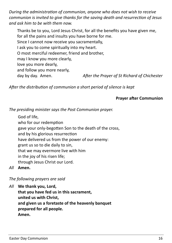*During the administration of communion, anyone who does not wish to receive communion is invited to give thanks for the saving death and resurrection of Jesus and ask him to be with them now.* 

Thanks be to you, Lord Jesus Christ, for all the benefits you have given me, for all the pains and insults you have borne for me. Since I cannot now receive you sacramentally, I ask you to come spiritually into my heart. O most merciful redeemer, friend and brother, may I know you more clearly, love you more dearly, and follow you more nearly, day by day. Amen. *After the Prayer of St Richard of Chichester*

*After the distribution of communion a short period of silence is kept*

#### **Prayer after Communion**

*The presiding minister says the Post Communion prayer.*

God of life, who for our redemption gave your only-begotten Son to the death of the cross, and by his glorious resurrection have delivered us from the power of our enemy: grant us so to die daily to sin, that we may evermore live with him in the joy of his risen life; through Jesus Christ our Lord.

*All* **Amen.**

#### *The following prayers are said*

*All* **We thank you, Lord, that you have fed us in this sacrament, united us with Christ, and given us a foretaste of the heavenly banquet prepared for all people. Amen.**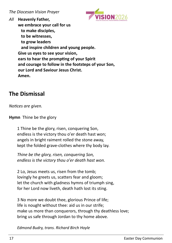

*All* **Heavenly Father, we embrace your call for us to make disciples, to be witnesses, to grow leaders and inspire children and young people. Give us eyes to see your vision, ears to hear the prompting of your Spirit and courage to follow in the footsteps of your Son, our Lord and Saviour Jesus Christ. Amen.** 

# **The Dismissal**

*Notices are given.* 

**Hymn** Thine be the glory

1 Thine be the glory, risen, conquering Son, endless is the victory thou o'er death hast won; angels in bright raiment rolled the stone away, kept the folded grave-clothes where thy body lay.

*Thine be the glory, risen, conquering Son, endless is the victory thou o'er death hast won.*

2 Lo, Jesus meets us, risen from the tomb; lovingly he greets us, scatters fear and gloom; let the church with gladness hymns of triumph sing, for her Lord now liveth, death hath lost its sting.

3 No more we doubt thee, glorious Prince of life; life is nought without thee: aid us in our strife; make us more than conquerors, through thy deathless love; bring us safe through Jordan to thy home above.

*Edmond Budry, trans. Richard Birch Hoyle*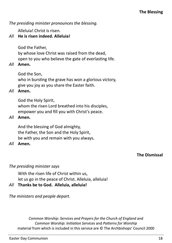# Alleluia! Christ is risen.

*All* **He is risen indeed. Alleluia!**

God the Father, by whose love Christ was raised from the dead, open to you who believe the gate of everlasting life.

# *All* **Amen.**

God the Son,

who in bursting the grave has won a glorious victory, give you joy as you share the Easter faith.

# *All* **Amen.**

God the Holy Spirit, whom the risen Lord breathed into his disciples, empower you and fill you with Christ's peace.

#### *All* **Amen.**

And the blessing of God almighty, the Father, the Son and the Holy Spirit, be with you and remain with you always.

### *All* **Amen.**

# **The Dismissal**

# *The presiding minister says*

With the risen life of Christ within us,

let us go in the peace of Christ. Alleluia, alleluia!

# *All* **Thanks be to God. Alleluia, alleluia!**

*The ministers and people depart.* 

*Common Worship: Services and Prayers for the Church of England* and *Common Worship: Initiation Services* and *Patterns for Worship*  material from which is included in this service are © The Archbishops' Council 2000